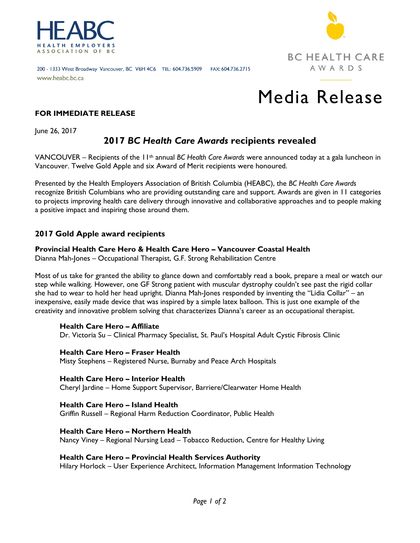



#### 200 - 1333 West Broadway Vancouver, BC V6H 4C6 TEL: 604.736.5909 FAX: 604.736.2715 www.heabc.bc.ca

# Media Release

#### **FOR IMMEDIATE RELEASE**

June 26, 2017

## **2017** *BC Health Care Awards* **recipients revealed**

VANCOUVER – Recipients of the 11th annual *BC Health Care Awards* were announced today at a gala luncheon in Vancouver. Twelve Gold Apple and six Award of Merit recipients were honoured.

Presented by the Health Employers Association of British Columbia (HEABC), the *BC Health Care Awards*  recognize British Columbians who are providing outstanding care and support. Awards are given in 11 categories to projects improving health care delivery through innovative and collaborative approaches and to people making a positive impact and inspiring those around them.

### **2017 Gold Apple award recipients**

**Provincial Health Care Hero & Health Care Hero – Vancouver Coastal Health** 

Dianna Mah-Jones – Occupational Therapist, G.F. Strong Rehabilitation Centre

Most of us take for granted the ability to glance down and comfortably read a book, prepare a meal or watch our step while walking. However, one GF Strong patient with muscular dystrophy couldn't see past the rigid collar she had to wear to hold her head upright. Dianna Mah-Jones responded by inventing the "Lidia Collar" – an inexpensive, easily made device that was inspired by a simple latex balloon. This is just one example of the creativity and innovative problem solving that characterizes Dianna's career as an occupational therapist.

#### **Health Care Hero – Affiliate**

Dr. Victoria Su – Clinical Pharmacy Specialist, St. Paul's Hospital Adult Cystic Fibrosis Clinic

**Health Care Hero – Fraser Health** Misty Stephens – Registered Nurse, Burnaby and Peace Arch Hospitals

**Health Care Hero – Interior Health**  Cheryl Jardine – Home Support Supervisor, Barriere/Clearwater Home Health

**Health Care Hero – Island Health** Griffin Russell – Regional Harm Reduction Coordinator, Public Health

**Health Care Hero – Northern Health** Nancy Viney – Regional Nursing Lead – Tobacco Reduction, Centre for Healthy Living

#### **Health Care Hero – Provincial Health Services Authority**

Hilary Horlock – User Experience Architect, Information Management Information Technology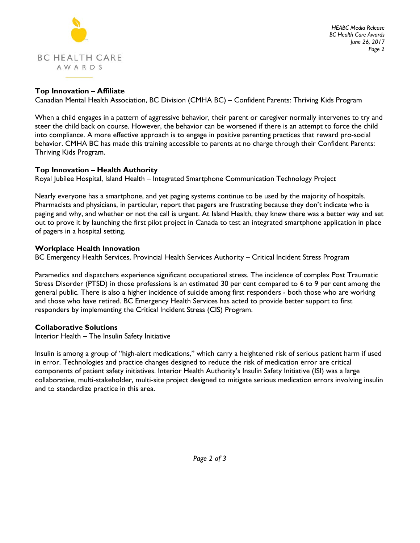

#### **Top Innovation – Affiliate**

Canadian Mental Health Association, BC Division (CMHA BC) – Confident Parents: Thriving Kids Program

When a child engages in a pattern of aggressive behavior, their parent or caregiver normally intervenes to try and steer the child back on course. However, the behavior can be worsened if there is an attempt to force the child into compliance. A more effective approach is to engage in positive parenting practices that reward pro-social behavior. CMHA BC has made this training accessible to parents at no charge through their Confident Parents: Thriving Kids Program.

#### **Top Innovation – Health Authority**

Royal Jubilee Hospital, Island Health – Integrated Smartphone Communication Technology Project

Nearly everyone has a smartphone, and yet paging systems continue to be used by the majority of hospitals. Pharmacists and physicians, in particular, report that pagers are frustrating because they don't indicate who is paging and why, and whether or not the call is urgent. At Island Health, they knew there was a better way and set out to prove it by launching the first pilot project in Canada to test an integrated smartphone application in place of pagers in a hospital setting.

#### **Workplace Health Innovation**

BC Emergency Health Services, Provincial Health Services Authority – Critical Incident Stress Program

Paramedics and dispatchers experience significant occupational stress. The incidence of complex Post Traumatic Stress Disorder (PTSD) in those professions is an estimated 30 per cent compared to 6 to 9 per cent among the general public. There is also a higher incidence of suicide among first responders - both those who are working and those who have retired. BC Emergency Health Services has acted to provide better support to first responders by implementing the Critical Incident Stress (CIS) Program.

#### **Collaborative Solutions**

Interior Health – The Insulin Safety Initiative

Insulin is among a group of "high-alert medications," which carry a heightened risk of serious patient harm if used in error. Technologies and practice changes designed to reduce the risk of medication error are critical components of patient safety initiatives. Interior Health Authority's Insulin Safety Initiative (ISI) was a large collaborative, multi-stakeholder, multi-site project designed to mitigate serious medication errors involving insulin and to standardize practice in this area.